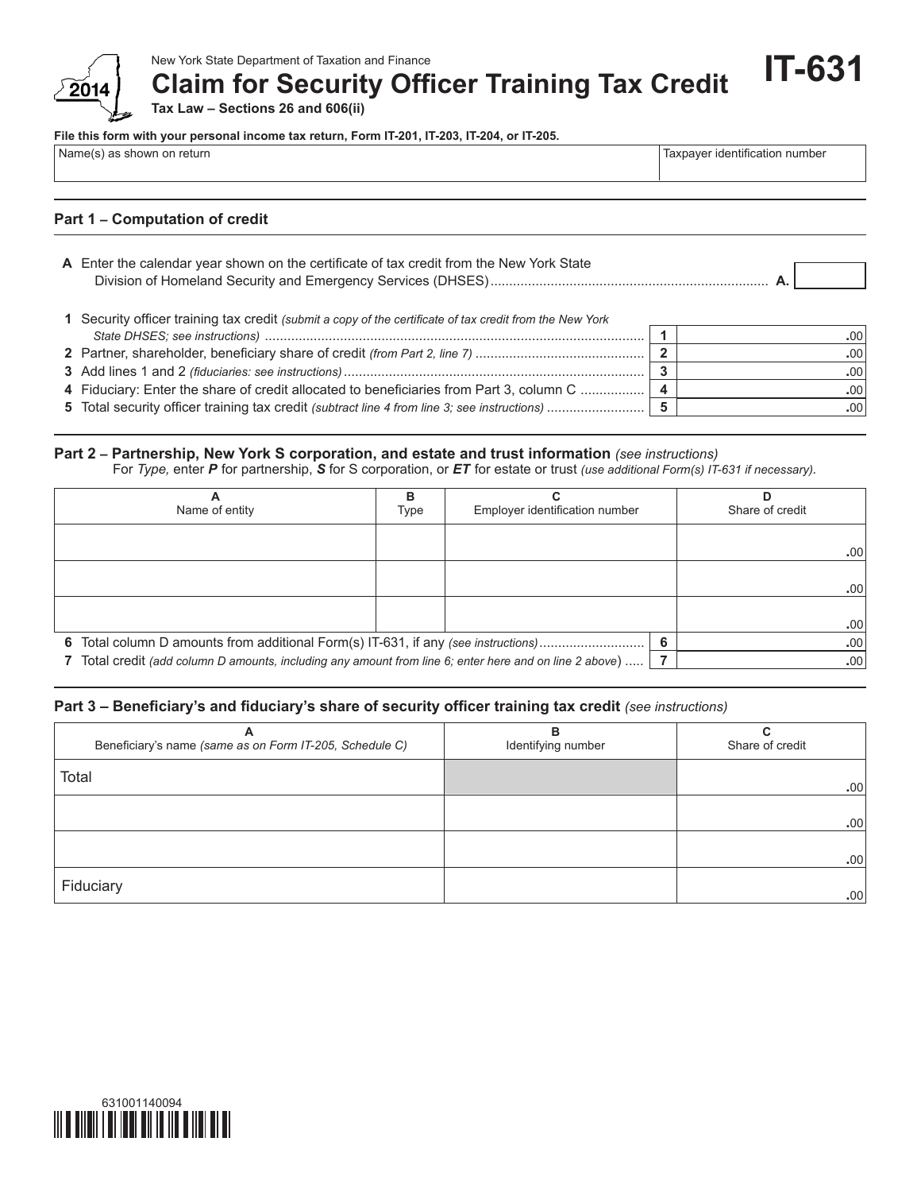

 **Claim for Security Officer Training Tax Credit**

**IT-631**

**Tax Law – Sections 26 and 606(ii)**

#### **File this form with your personal income tax return, Form IT-201, IT-203, IT-204, or IT-205.**

| Name(s) as shown on return | Taxpayer identification number |  |
|----------------------------|--------------------------------|--|
|                            |                                |  |

## **Part 1 – Computation of credit**

| A Enter the calendar year shown on the certificate of tax credit from the New York State                 |  |                  |
|----------------------------------------------------------------------------------------------------------|--|------------------|
|                                                                                                          |  |                  |
|                                                                                                          |  |                  |
| 1 Security officer training tax credit (submit a copy of the certificate of tax credit from the New York |  |                  |
|                                                                                                          |  | .00 <sub>1</sub> |
| 0. Destrey electrical des hereficiens electric ef escalit (fum Duit 0, 11 - 7)                           |  | $\sim$           |

| Partner<br>ner, shareholder, beneficiary share of credit <i>(from Part 2, line 7)</i> : |  |
|-----------------------------------------------------------------------------------------|--|
| <b>3</b> Add lines 1 and 2 <i>(fiduciaries: see instructions)</i>                       |  |
|                                                                                         |  |

| 4 Fiduciary: Enter the share of credit allocated to beneficiaries from Part 3, column C | .00 |
|-----------------------------------------------------------------------------------------|-----|
|                                                                                         | .00 |

# **Part 2 – Partnership, New York S corporation, and estate and trust information** *(see instructions)*

For *Type,* enter *P* for partnership, *S* for S corporation, or *ET* for estate or trust *(use additional Form(s) IT-631 if necessary).*

| Name of entity                                                                                                                                                                              | в<br>Type | Employer identification number |   | Share of credit  |
|---------------------------------------------------------------------------------------------------------------------------------------------------------------------------------------------|-----------|--------------------------------|---|------------------|
|                                                                                                                                                                                             |           |                                |   | .00 <sub>1</sub> |
|                                                                                                                                                                                             |           |                                |   | .00 <sub>1</sub> |
|                                                                                                                                                                                             |           |                                |   | .00              |
| 6 Total column D amounts from additional Form(s) IT-631, if any (see instructions)<br>Total credit (add column D amounts, including any amount from line 6; enter here and on line 2 above) |           |                                | 6 | .00<br>.00       |

# **Part 3 – Beneficiary's and fiduciary's share of security officer training tax credit** *(see instructions)*

| <b>_</b><br>Beneficiary's name (same as on Form IT-205, Schedule C) | в<br>Identifying number | Share of credit  |
|---------------------------------------------------------------------|-------------------------|------------------|
| Total                                                               |                         | .00 <sub>1</sub> |
|                                                                     |                         | .00              |
|                                                                     |                         | .00              |
| Fiduciary                                                           |                         | .00 <sub>1</sub> |